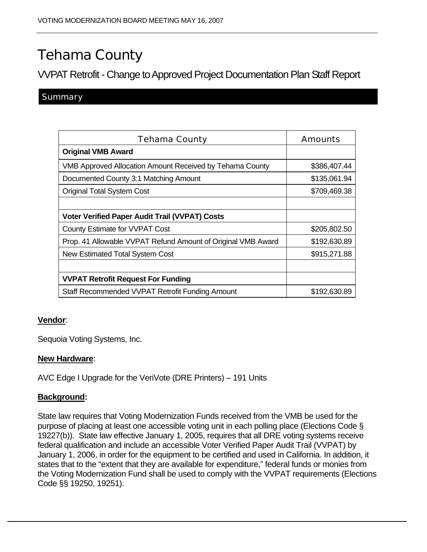# Tehama County

VVPAT Retrofit - Change to Approved Project Documentation Plan Staff Report

### **Summary**

| <b>Tehama County</b>                                            | Amounts      |
|-----------------------------------------------------------------|--------------|
| <b>Original VMB Award</b>                                       |              |
| <b>VMB Approved Allocation Amount Received by Tehama County</b> | \$386,407.44 |
| Documented County 3:1 Matching Amount                           | \$135,061.94 |
| <b>Original Total System Cost</b>                               | \$709,469.38 |
|                                                                 |              |
| <b>Voter Verified Paper Audit Trail (VVPAT) Costs</b>           |              |
| County Estimate for VVPAT Cost                                  | \$205,802.50 |
| Prop. 41 Allowable VVPAT Refund Amount of Original VMB Award    | \$192,630.89 |
| <b>New Estimated Total System Cost</b>                          | \$915,271.88 |
|                                                                 |              |
| <b>VVPAT Retrofit Request For Funding</b>                       |              |
| Staff Recommended VVPAT Retrofit Funding Amount                 | \$192,630.89 |

#### **Vendor**:

Sequoia Voting Systems, Inc.

#### **New Hardware**:

AVC Edge I Upgrade for the VeriVote (DRE Printers) – 191 Units

#### **Background:**

State law requires that Voting Modernization Funds received from the VMB be used for the purpose of placing at least one accessible voting unit in each polling place (Elections Code § 19227(b)). State law effective January 1, 2005, requires that all DRE voting systems receive federal qualification and include an accessible Voter Verified Paper Audit Trail (VVPAT) by January 1, 2006, in order for the equipment to be certified and used in California. In addition, it states that to the "extent that they are available for expenditure," federal funds or monies from the Voting Modernization Fund shall be used to comply with the VVPAT requirements (Elections Code §§ 19250, 19251).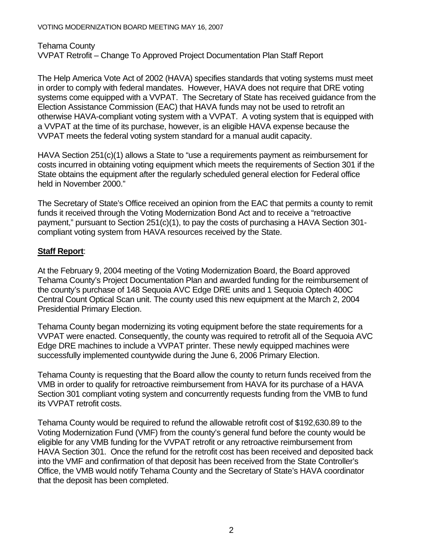Tehama County VVPAT Retrofit – Change To Approved Project Documentation Plan Staff Report

The Help America Vote Act of 2002 (HAVA) specifies standards that voting systems must meet in order to comply with federal mandates. However, HAVA does not require that DRE voting systems come equipped with a VVPAT. The Secretary of State has received guidance from the Election Assistance Commission (EAC) that HAVA funds may not be used to retrofit an otherwise HAVA-compliant voting system with a VVPAT. A voting system that is equipped with a VVPAT at the time of its purchase, however, is an eligible HAVA expense because the VVPAT meets the federal voting system standard for a manual audit capacity.

HAVA Section 251(c)(1) allows a State to "use a requirements payment as reimbursement for costs incurred in obtaining voting equipment which meets the requirements of Section 301 if the State obtains the equipment after the regularly scheduled general election for Federal office held in November 2000."

The Secretary of State's Office received an opinion from the EAC that permits a county to remit funds it received through the Voting Modernization Bond Act and to receive a "retroactive payment," pursuant to Section 251(c)(1), to pay the costs of purchasing a HAVA Section 301 compliant voting system from HAVA resources received by the State.

## **Staff Report**:

At the February 9, 2004 meeting of the Voting Modernization Board, the Board approved Tehama County's Project Documentation Plan and awarded funding for the reimbursement of the county's purchase of 148 Sequoia AVC Edge DRE units and 1 Sequoia Optech 400C Central Count Optical Scan unit. The county used this new equipment at the March 2, 2004 Presidential Primary Election.

Tehama County began modernizing its voting equipment before the state requirements for a VVPAT were enacted. Consequently, the county was required to retrofit all of the Sequoia AVC Edge DRE machines to include a VVPAT printer. These newly equipped machines were successfully implemented countywide during the June 6, 2006 Primary Election.

Tehama County is requesting that the Board allow the county to return funds received from the VMB in order to qualify for retroactive reimbursement from HAVA for its purchase of a HAVA Section 301 compliant voting system and concurrently requests funding from the VMB to fund its VVPAT retrofit costs.

Tehama County would be required to refund the allowable retrofit cost of \$192,630.89 to the Voting Modernization Fund (VMF) from the county's general fund before the county would be eligible for any VMB funding for the VVPAT retrofit or any retroactive reimbursement from HAVA Section 301. Once the refund for the retrofit cost has been received and deposited back into the VMF and confirmation of that deposit has been received from the State Controller's Office, the VMB would notify Tehama County and the Secretary of State's HAVA coordinator that the deposit has been completed.